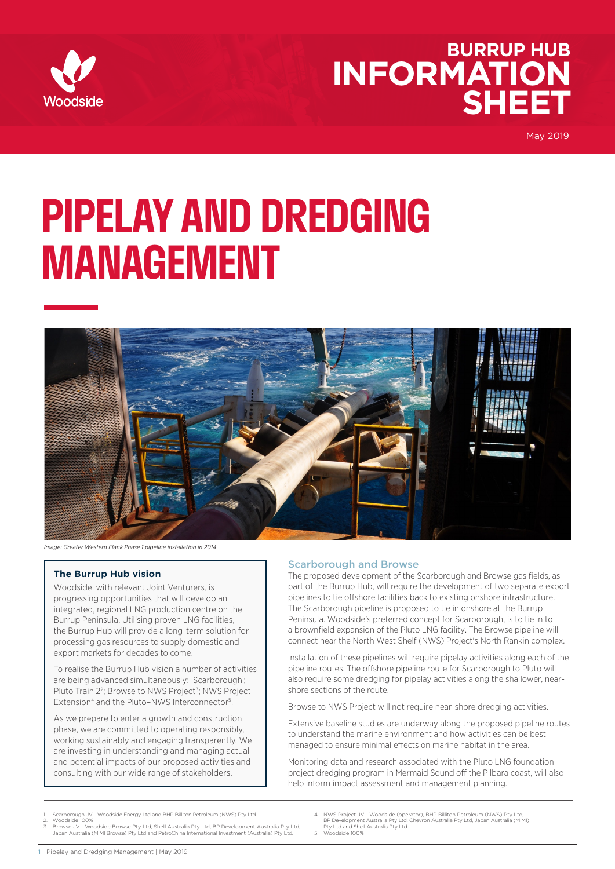

# **INFORMATION SHEET BURRUP HUB**

May 2019

# **PIPELAY AND DREDGING MANAGEMENT**



*Image: Greater Western Flank Phase 1 pipeline installation in 2014*

#### **The Burrup Hub vision**

Woodside, with relevant Joint Venturers, is progressing opportunities that will develop an integrated, regional LNG production centre on the Burrup Peninsula. Utilising proven LNG facilities, the Burrup Hub will provide a long-term solution for processing gas resources to supply domestic and export markets for decades to come.

To realise the Burrup Hub vision a number of activities are being advanced simultaneously: Scarborough<sup>1</sup>; Pluto Train 2<sup>2</sup>; Browse to NWS Project<sup>3</sup>; NWS Project Extension<sup>4</sup> and the Pluto-NWS Interconnector<sup>5</sup>.

As we prepare to enter a growth and construction phase, we are committed to operating responsibly, working sustainably and engaging transparently. We are investing in understanding and managing actual and potential impacts of our proposed activities and consulting with our wide range of stakeholders.

#### Scarborough and Browse

The proposed development of the Scarborough and Browse gas fields, as part of the Burrup Hub, will require the development of two separate export pipelines to tie offshore facilities back to existing onshore infrastructure. The Scarborough pipeline is proposed to tie in onshore at the Burrup Peninsula. Woodside's preferred concept for Scarborough, is to tie in to a brownfield expansion of the Pluto LNG facility. The Browse pipeline will connect near the North West Shelf (NWS) Project's North Rankin complex.

Installation of these pipelines will require pipelay activities along each of the pipeline routes. The offshore pipeline route for Scarborough to Pluto will also require some dredging for pipelay activities along the shallower, nearshore sections of the route.

Browse to NWS Project will not require near-shore dredging activities.

Extensive baseline studies are underway along the proposed pipeline routes to understand the marine environment and how activities can be best managed to ensure minimal effects on marine habitat in the area.

Monitoring data and research associated with the Pluto LNG foundation project dredging program in Mermaid Sound off the Pilbara coast, will also help inform impact assessment and management planning.

- Scarborough JV Woodside Energy Ltd and BHP Billiton Petroleum (NWS) Pty Ltd.
- Woodside 100% 3. Browse JV - Woodside Browse Pty Ltd, Shell Australia Pty Ltd, BP Development Australia Pty Ltd, Japan Australia (MIMI Browse) Pty Ltd and PetroChina International Investment (Australia) Pty Ltd.
- 4. NWS Project JV Woodside (operator), BHP Billiton Petroleum (NWS) Pty Ltd, BP Development Australia Pty Ltd, Chevron Australia Pty Ltd, Japan Australia (MIMI) Pty Ltd and Shell Australia Pty Ltd.
- 5. Woodside 100%